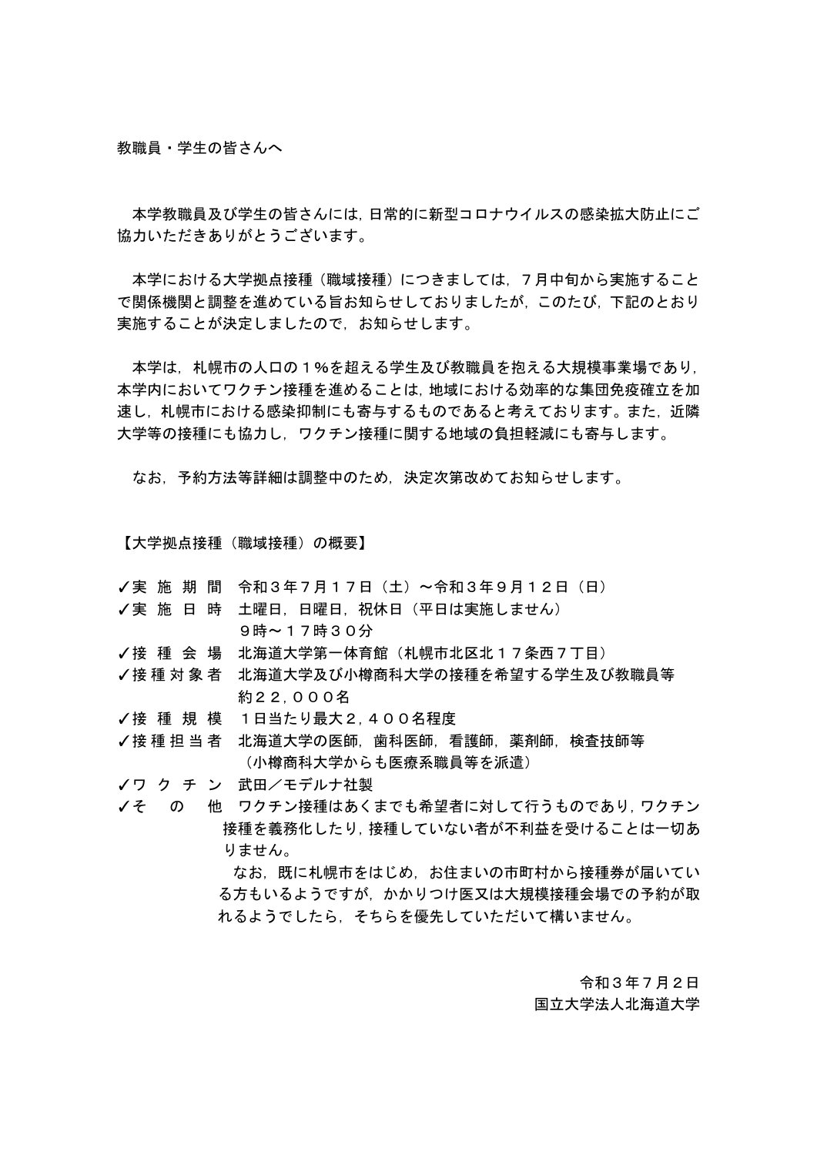教職員・学生の皆さんへ

本学教職員及び学生の皆さんには,日常的に新型コロナウイルスの感染拡大防止にご 協力いただきありがとうございます。

本学における大学拠点接種(職域接種)につきましては,7月中旬から実施すること で関係機関と調整を進めている旨お知らせしておりましたが,このたび,下記のとおり 実施することが決定しましたので,お知らせします。

本学は、札幌市の人口の1%を超える学生及び教職員を抱える大規模事業場であり, 本学内においてワクチン接種を進めることは,地域における効率的な集団免疫確立を加 速し,札幌市における感染抑制にも寄与するものであると考えております。また,近隣 大学等の接種にも協力し,ワクチン接種に関する地域の負担軽減にも寄与します。

なお,予約方法等詳細は調整中のため,決定次第改めてお知らせします。

【大学拠点接種(職域接種)の概要】

- ✓実 施 期 間 令和3年7月17日(土)~令和3年9月12日(日)
- ✓実 施 日 時 土曜日, 日曜日, 祝休日 (平日は実施しません) 9時~17時30分
- ✓接 種 会 場 北海道大学第一体育館(札幌市北区北17条西7丁目)
- ✓接 種 対 象 者 北海道大学及び小樽商科大学の接種を希望する学生及び教職員等 約22,000名
- ✓接 種 規 模 1日当たり最大2,400名程度

✔接 種 担 当 者 →北海道大学の医師,歯科医師,看護師,薬剤師,検査技師等 (小樽商科大学からも医療系職員等を派遣)

✓ワ ク チ ン 武田/モデルナ社製

✓そ の 他 ワクチン接種はあくまでも希望者に対して行うものであり,ワクチン 接種を義務化したり,接種していない者が不利益を受けることは一切あ りません。

> なお,既に札幌市をはじめ,お住まいの市町村から接種券が届いてい る方もいるようですが,かかりつけ医又は大規模接種会場での予約が取 れるようでしたら,そちらを優先していただいて構いません。

> > 令和3年7月2日 国立大学法人北海道大学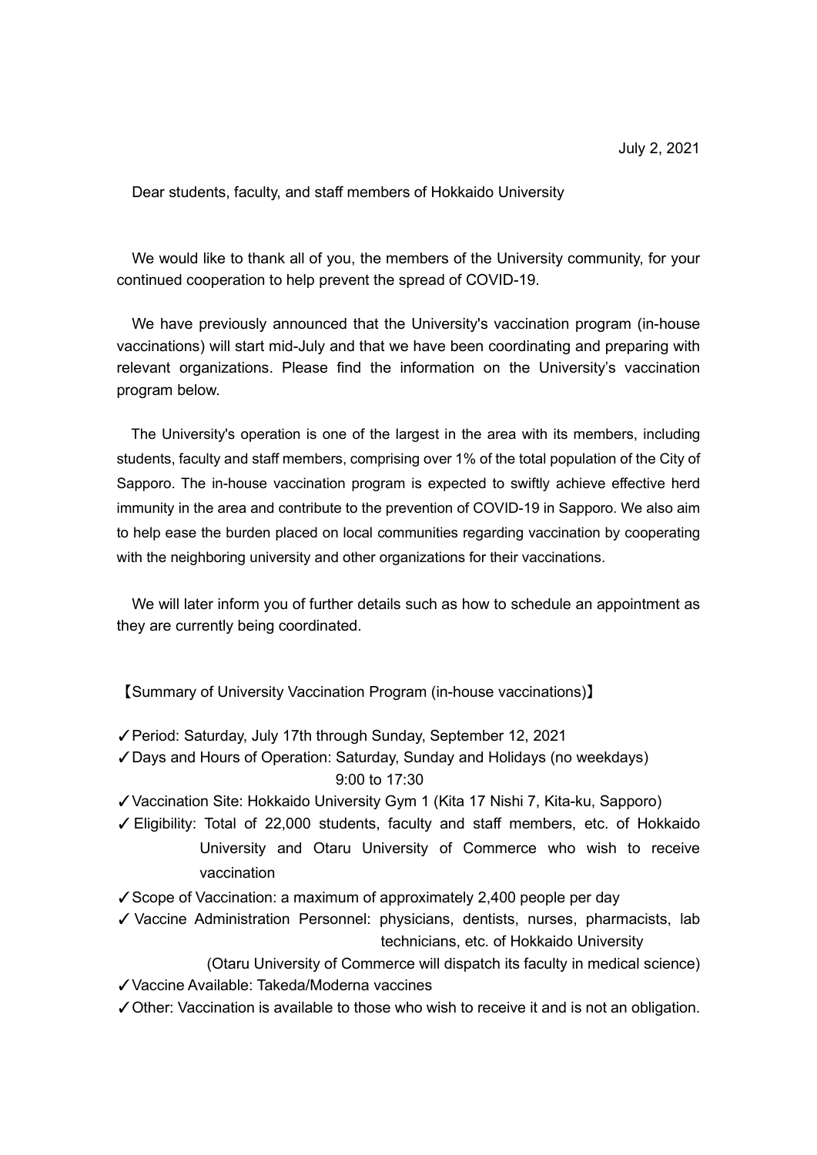Dear students, faculty, and staff members of Hokkaido University

We would like to thank all of you, the members of the University community, for your continued cooperation to help prevent the spread of COVID-19.

We have previously announced that the University's vaccination program (in-house vaccinations) will start mid-July and that we have been coordinating and preparing with relevant organizations. Please find the information on the University's vaccination program below.

The University's operation is one of the largest in the area with its members, including students, faculty and staff members, comprising over 1% of the total population of the City of Sapporo. The in-house vaccination program is expected to swiftly achieve effective herd immunity in the area and contribute to the prevention of COVID-19 in Sapporo. We also aim to help ease the burden placed on local communities regarding vaccination by cooperating with the neighboring university and other organizations for their vaccinations.

We will later inform you of further details such as how to schedule an appointment as they are currently being coordinated.

【Summary of University Vaccination Program (in-house vaccinations)】

- ✓Period: Saturday, July 17th through Sunday, September 12, 2021
- ✓Days and Hours of Operation: Saturday, Sunday and Holidays (no weekdays) 9:00 to 17:30
- ✓Vaccination Site: Hokkaido University Gym 1 (Kita 17 Nishi 7, Kita-ku, Sapporo)
- ✓Eligibility: Total of 22,000 students, faculty and staff members, etc. of Hokkaido University and Otaru University of Commerce who wish to receive vaccination
- ✓Scope of Vaccination: a maximum of approximately 2,400 people per day
- ✓ Vaccine Administration Personnel: physicians, dentists, nurses, pharmacists, lab technicians, etc. of Hokkaido University

(Otaru University of Commerce will dispatch its faculty in medical science) ✓Vaccine Available: Takeda/Moderna vaccines

✓Other: Vaccination is available to those who wish to receive it and is not an obligation.